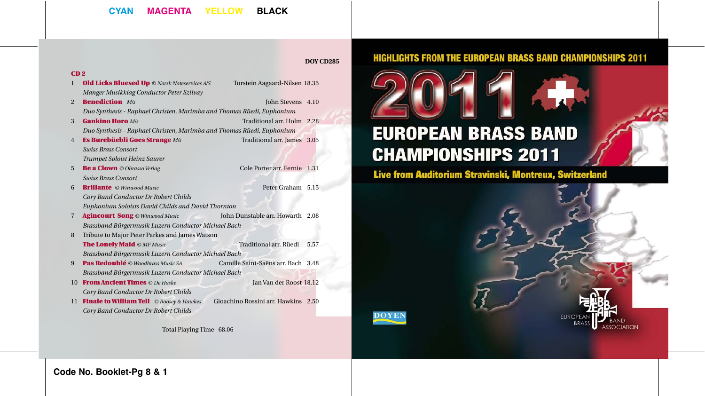## **CYAN MAGENTA YELLOW BLACK**

### **DOY CD285**

**DOYEN** 

#### CD 2

- 1 **Old Licks Bluesed Up** © Norsk Noteservices A/S Torstein Aagaard-Nilsen 18.35 *Manger Musikklag Conductor Peter Szilvay*
	-
- 2 **Benediction** *M/s* John Stevens 4.10 *Duo Synthesis - Raphael Christen, Marimba and Thomas Rüedi, Euphonium*
- 3 Gankino Horo *M/s* Traditional arr. Holm 2.28 *Duo Synthesis - Raphael Christen, Marimba and Thomas Rüedi, Euphonium*
- 4 Es Burebüebli Goes Strange *M/s* Traditional arr. James 3.05 *Swiss Brass Consort* 
	- *Trumpet Soloist Heinz Saurer*
- 5 **Be a Clown** © Obrasso Verlag Cole Porter arr. Fernie 1.31 *Swiss Brass Consort*
- 6 Brillante *© Winwood Music* Peter Graham 5.15 *Cory Band Conductor Dr Robert Childs Euphonium Soloists David Childs and David Thornton*
- 7 Agincourt Song *© Winwood Music* John Dunstable arr. Howarth 2.08 *Brassband Bürgermusik Luzern Conductor Michael Bach*
- 8 Tribute to Major Peter Parkes and James Watson The Lonely Maid *© MF Music* Traditional arr. Rüedi 5.57 *Brassband Bürgermusik Luzern Conductor Michael Bach*
- 9 Pas Redoublé *© Woodbrass Music SA* Camille Saint-Saëns arr. Bach 3.48 *Brassband Bürgermusik Luzern Conductor Michael Bach*
- 10 From Ancient Times *© De Haske* Jan Van der Roost 18.12 *Cory Band Conductor Dr Robert Childs*
- 11 Finale to William Tell *© Boosey & Hawkes* Gioachino Rossini arr. Hawkins 2.50 *Cory Band Conductor Dr Robert Childs*

Total Playing Time 68.06

## **HIGHLIGHTS FROM THE EUROPEAN BRASS BAND CHAMPIONSHIPS 2011**



# **EUROPEAN BRASS BAND CHAMPIONSHIPS 2011**

## Live from Auditorium Stravinski, Montreux, Switzerland

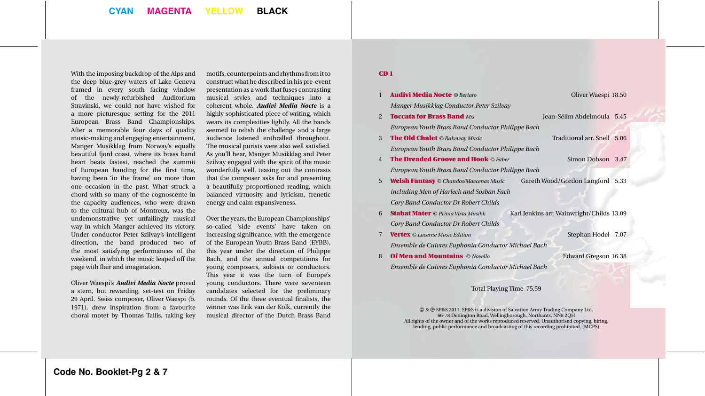With the imposing backdrop of the Alps and the deep blue-grey waters of Lake Geneva framed in every south facing window of the newly-refurbished Auditorium Stravinski, we could not have wished for a more picturesque setting for the 2011 European Brass Band Championships. After a memorable four days of quality music-making and engaging entertainment, Manger Musikklag from Norway's equally beautiful fjord coast, where its brass band heart beats fastest, reached the summit of European banding for the first time, having been 'in the frame' on more than one occasion in the past. What struck a chord with so many of the cognoscente in the capacity audiences, who were drawn to the cultural hub of Montreux, was the undemonstrative yet unfailingly musical way in which Manger achieved its victory. Under conductor Peter Szilvay's intelligent direction, the band produced two of the most satisfying performances of the weekend, in which the music leaped off the page with flair and imagination.

Oliver Waespi's *Audivi Media Nocte* proved a stern, but rewarding, set-test on Friday 29 April. Swiss composer, Oliver Waespi (b. 1971), drew inspiration from a favourite choral motet by Thomas Tallis, taking key

motifs, counterpoints and rhythms from it to construct what he described in his pre-event presentation as a work that fuses contrasting musical styles and techniques into a coherent whole. *Audivi Media Nocte* is a highly sophisticated piece of writing, which wears its complexities lightly. All the bands seemed to relish the challenge and a large audience listened enthralled throughout. The musical purists were also well satisfied. As you'll hear, Manger Musikklag and Peter Szilvay engaged with the spirit of the music wonderfully well, teasing out the contrasts that the composer asks for and presenting a beautifully proportioned reading, which balanced virtuosity and lyricism, frenetic energy and calm expansiveness.

Over the years, the European Championships' so-called 'side events' have taken on increasing significance, with the emergence of the European Youth Brass Band (EYBB), this year under the direction of Philippe Bach, and the annual competitions for young composers, soloists or conductors. This year it was the turn of Europe's young conductors. There were seventeen candidates selected for the preliminary rounds. Of the three eventual finalists, the winner was Erik van der Kolk, currently the musical director of the Dutch Brass Band

#### CD 1

| 1              | <b>Audivi Media Nocte © Beriato</b><br>Oliver Waespi 18.50                            |  |
|----------------|---------------------------------------------------------------------------------------|--|
|                | Manger Musikklag Conductor Peter Szilvay                                              |  |
| $\overline{2}$ | <b>Toccata for Brass Band M/s</b><br>Jean-Sélim Abdelmoula 5.45                       |  |
|                | European Youth Brass Band Conductor Philippe Bach                                     |  |
| 3              | Traditional arr. Snell 5.06<br><b>The Old Chalet</b> © Rakeway Music                  |  |
|                | European Youth Brass Band Conductor Philippe Bach                                     |  |
| $\overline{4}$ | <b>The Dreaded Groove and Hook © Faber</b><br>Simon Dobson 3.47                       |  |
|                | European Youth Brass Band Conductor Philippe Bach                                     |  |
| 5              | Gareth Wood/Gordon Langford 5.33<br><b>Welsh Fantasy</b> © Chandos/Maecenas Music     |  |
|                | including Men of Harlech and Sosban Fach                                              |  |
|                | Cory Band Conductor Dr Robert Childs                                                  |  |
| 6              | Karl Jenkins arr. Wainwright/Childs 13.09<br><b>Stabat Mater</b> © Prima Vista Musikk |  |
|                | Cory Band Conductor Dr Robert Childs                                                  |  |
| $\overline{7}$ | Stephan Hodel 7.07<br><b>Vertex</b> © Lucerne Music Edition                           |  |
|                | Ensemble de Cuivres Euphonia Conductor Michael Bach                                   |  |
| 8              | <b>Of Men and Mountains © Novello</b><br>Edward Gregson 16.38                         |  |
|                | Ensemble de Cuivres Euphonia Conductor Michael Bach                                   |  |
|                |                                                                                       |  |
|                | Total Playing Time 75.59                                                              |  |

 & SP&S 2011. SP&S is a division of Salvation Army Trading Company Ltd. 66-78 Denington Road, Wellingborough, Northants, NN8 2QH All rights of the owner and of the works reproduced reserved. Unauthorised copying, hiring, lending, public performance and broadcasting of this recording prohibited. (MCPS)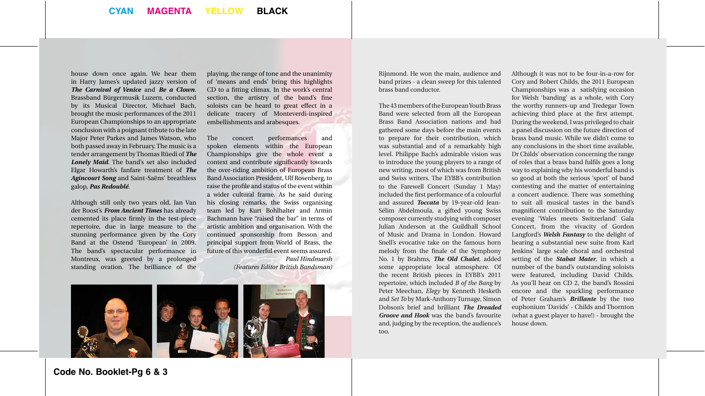house down once again. We hear them in Harry James's updated jazzy version of *The Carnival of Venice* and *Be a Clown*. Brassband Bürgermusik Luzern, conducted by its Musical Director, Michael Bach, brought the music performances of the 2011 European Championships to an appropriate conclusion with a poignant tribute to the late Major Peter Parkes and James Watson, who both passed away in February. The music is a tender arrangement by Thomas Rüedi of *The Lonely Maid*. The band's set also included Elgar Howarth's fanfare treatment of *The Agincourt Song* and Saint-Saëns' breathless galop, *Pas Redoublé*.

Although still only two years old, Jan Van der Roost's *From Ancient Times* has already cemented its place firmly in the test-piece repertoire, due in large measure to the stunning performance given by the Cory Band at the Ostend 'European' in 2009. The band's spectacular performance in Montreux, was greeted by a prolonged standing ovation. The brilliance of the playing, the range of tone and the unanimity of 'means and ends' bring this highlights CD to a fitting climax. In the work's central section, the artistry of the band's fine soloists can be heard to great effect in a delicate tracery of Monteverdi-inspired embellishments and arabesques.

The concert performances and spoken elements within the European Championships give the whole event a context and contribute significantly towards the over-riding ambition of European Brass Band Association President, Ulf Rosenberg, to raise the profile and status of the event within a wider cultural frame. As he said during his closing remarks, the Swiss organising team led by Kurt Bohlhalter and Armin Bachmann have "raised the bar" in terms of artistic ambition and organisation. With the continued sponsorship from Besson and principal support from World of Brass, the future of this wonderful event seems assured. *Paul Hindmarsh* 

*(Features Editor British Bandsman)*



Rijnmond. He won the main, audience and band prizes - a clean sweep for this talented brass band conductor.

The 43 members of the European Youth Brass Band were selected from all the European Brass Band Association nations and had gathered some days before the main events to prepare for their contribution, which was substantial and of a remarkably high level. Philippe Bach's admirable vision was to introduce the young players to a range of new writing, most of which was from British and Swiss writers. The EYBB's contribution to the Farewell Concert (Sunday 1 May) included the first performance of a colourful and assured *Toccata* by 19-year-old Jean-Sélim Abdelmoula, a gifted young Swiss composer currently studying with composer Julian Anderson at the Guildhall School of Music and Drama in London. Howard Snell's evocative take on the famous horn melody from the finale of the Symphony No. 1 by Brahms, *The Old Chalet*, added some appropriate local atmosphere. Of the recent British pieces in EYBB's 2011 repertoire, which included *B of the Bang* by Peter Meechan, *Elegy* by Kenneth Hesketh and *Set To* by Mark-Anthony Turnage, Simon Dobson's brief and brilliant *The Dreaded Groove and Hook* was the band's favourite and, judging by the reception, the audience's too.

Although it was not to be four-in-a-row for Cory and Robert Childs, the 2011 European Championships was a satisfying occasion for Welsh 'banding' as a whole, with Cory the worthy runners-up and Tredegar Town achieving third place at the first attempt. During the weekend, I was privileged to chair a panel discussion on the future direction of brass band music. While we didn't come to any conclusions in the short time available, Dr Childs' observation concerning the range of roles that a brass band fulfils goes a long way to explaining why his wonderful band is so good at both the serious 'sport' of band contesting and the matter of entertaining a concert audience. There was something to suit all musical tastes in the band's magnificent contribution to the Saturday evening 'Wales meets Switzerland' Gala Concert, from the vivacity of Gordon Langford's *Welsh Fantasy* to the delight of hearing a substantial new suite from Karl Jenkins' large scale choral and orchestral setting of the *Stabat Mater*, in which a number of the band's outstanding soloists were featured, including David Childs. As you'll hear on CD 2, the band's Rossini encore and the sparkling performance of Peter Graham's *Brillante* by the two euphonium 'Davids' - Childs and Thornton (what a guest player to have!) - brought the house down.

**Code No. Booklet-Pg 6 & 3**